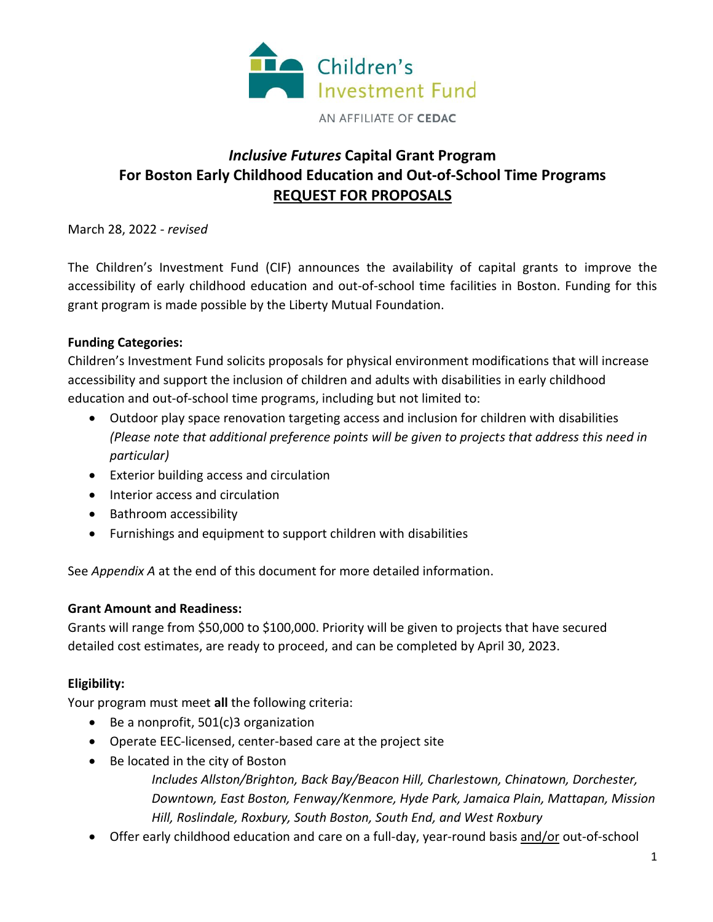

# *Inclusive Futures* **Capital Grant Program For Boston Early Childhood Education and Out-of-School Time Programs REQUEST FOR PROPOSALS**

March 28, 2022 - *revised*

The Children's Investment Fund (CIF) announces the availability of capital grants to improve the accessibility of early childhood education and out-of-school time facilities in Boston. Funding for this grant program is made possible by the Liberty Mutual Foundation.

# **Funding Categories:**

Children's Investment Fund solicits proposals for physical environment modifications that will increase accessibility and support the inclusion of children and adults with disabilities in early childhood education and out-of-school time programs, including but not limited to:

- Outdoor play space renovation targeting access and inclusion for children with disabilities *(Please note that additional preference points will be given to projects that address this need in particular)*
- Exterior building access and circulation
- Interior access and circulation
- Bathroom accessibility
- Furnishings and equipment to support children with disabilities

See *Appendix A* at the end of this document for more detailed information.

# **Grant Amount and Readiness:**

Grants will range from \$50,000 to \$100,000. Priority will be given to projects that have secured detailed cost estimates, are ready to proceed, and can be completed by April 30, 2023.

# **Eligibility:**

Your program must meet **all** the following criteria:

- Be a nonprofit, 501(c)3 organization
- Operate EEC-licensed, center-based care at the project site
- Be located in the city of Boston

*Includes Allston/Brighton, Back Bay/Beacon Hill, Charlestown, Chinatown, Dorchester, Downtown, East Boston, Fenway/Kenmore, Hyde Park, Jamaica Plain, Mattapan, Mission Hill, Roslindale, Roxbury, South Boston, South End, and West Roxbury*

• Offer early childhood education and care on a full-day, year-round basis and/or out-of-school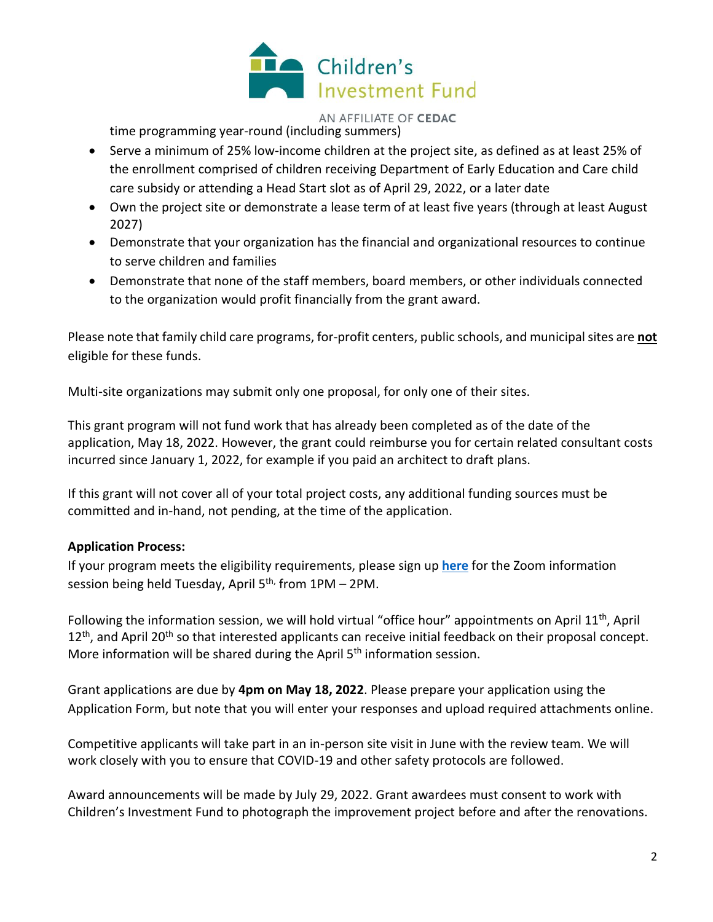

#### AN AFFILIATE OF CEDAC

time programming year-round (including summers)

- Serve a minimum of 25% low-income children at the project site, as defined as at least 25% of the enrollment comprised of children receiving Department of Early Education and Care child care subsidy or attending a Head Start slot as of April 29, 2022, or a later date
- Own the project site or demonstrate a lease term of at least five years (through at least August 2027)
- Demonstrate that your organization has the financial and organizational resources to continue to serve children and families
- Demonstrate that none of the staff members, board members, or other individuals connected to the organization would profit financially from the grant award.

Please note that family child care programs, for-profit centers, public schools, and municipal sites are **not** eligible for these funds.

Multi-site organizations may submit only one proposal, for only one of their sites.

This grant program will not fund work that has already been completed as of the date of the application, May 18, 2022. However, the grant could reimburse you for certain related consultant costs incurred since January 1, 2022, for example if you paid an architect to draft plans.

If this grant will not cover all of your total project costs, any additional funding sources must be committed and in-hand, not pending, at the time of the application.

## **Application Process:**

If your program meets the eligibility requirements, please sign up **[here](https://us02web.zoom.us/webinar/register/WN_Myr5r410SYa8I2eVs-iHwA)** for the Zoom information session being held Tuesday, April 5<sup>th,</sup> from 1PM – 2PM.

Following the information session, we will hold virtual "office hour" appointments on April 11<sup>th</sup>, April  $12<sup>th</sup>$ , and April 20<sup>th</sup> so that interested applicants can receive initial feedback on their proposal concept. More information will be shared during the April  $5<sup>th</sup>$  information session.

Grant applications are due by **4pm on May 18, 2022**. Please prepare your application using the Application Form, but note that you will enter your responses and upload required attachments online.

Competitive applicants will take part in an in-person site visit in June with the review team. We will work closely with you to ensure that COVID-19 and other safety protocols are followed.

Award announcements will be made by July 29, 2022. Grant awardees must consent to work with Children's Investment Fund to photograph the improvement project before and after the renovations.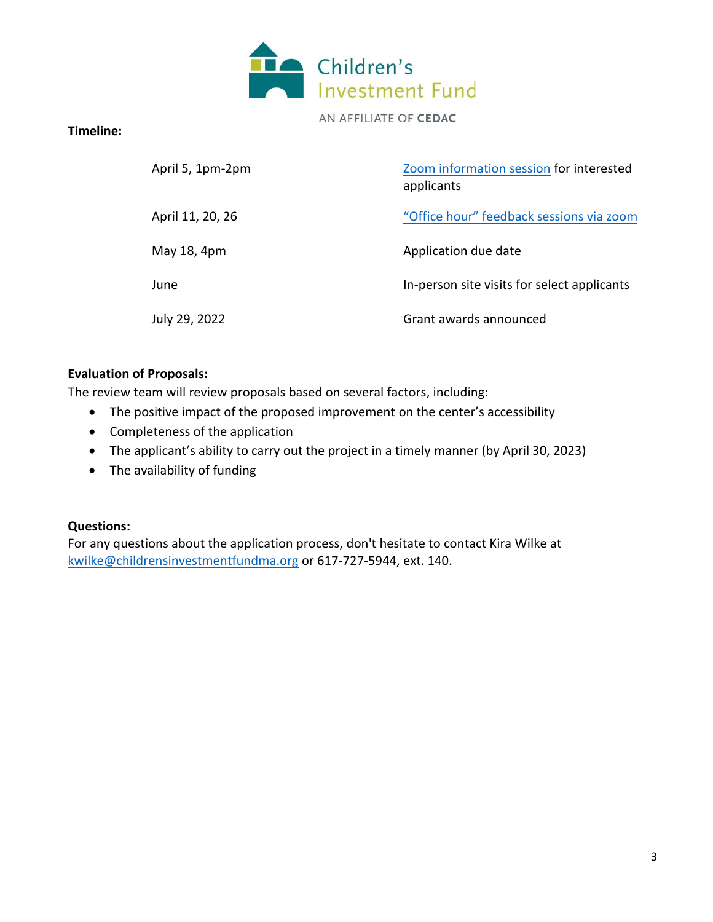

AN AFFILIATE OF CEDAC

### **Timeline:**

| April 5, 1pm-2pm | Zoom information session for interested<br>applicants |
|------------------|-------------------------------------------------------|
| April 11, 20, 26 | "Office hour" feedback sessions via zoom              |
| May 18, 4pm      | Application due date                                  |
| June             | In-person site visits for select applicants           |
| July 29, 2022    | Grant awards announced                                |

#### **Evaluation of Proposals:**

The review team will review proposals based on several factors, including:

- The positive impact of the proposed improvement on the center's accessibility
- Completeness of the application
- The applicant's ability to carry out the project in a timely manner (by April 30, 2023)
- The availability of funding

#### **Questions:**

For any questions about the application process, don't hesitate to contact Kira Wilke at [kwilke@childrensinvestmentfundma.org](mailto:kwilke@childrensinvestmentfundma.org) or 617-727-5944, ext. 140.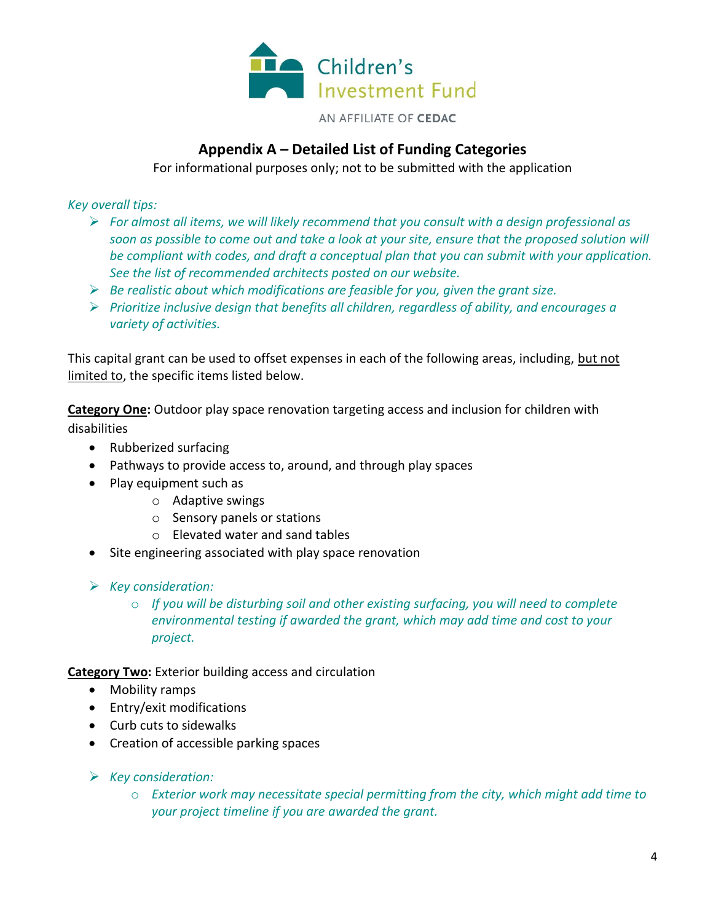

# **Appendix A – Detailed List of Funding Categories**

For informational purposes only; not to be submitted with the application

*Key overall tips:*

- ➢ *For almost all items, we will likely recommend that you consult with a design professional as soon as possible to come out and take a look at your site, ensure that the proposed solution will be compliant with codes, and draft a conceptual plan that you can submit with your application. See the list of recommended architects posted on our website.*
- ➢ *Be realistic about which modifications are feasible for you, given the grant size.*
- ➢ *Prioritize inclusive design that benefits all children, regardless of ability, and encourages a variety of activities.*

This capital grant can be used to offset expenses in each of the following areas, including, but not limited to, the specific items listed below.

**Category One:** Outdoor play space renovation targeting access and inclusion for children with disabilities

- Rubberized surfacing
- Pathways to provide access to, around, and through play spaces
- Play equipment such as
	- o Adaptive swings
	- o Sensory panels or stations
	- o Elevated water and sand tables
- Site engineering associated with play space renovation
- ➢ *Key consideration:*
	- o *If you will be disturbing soil and other existing surfacing, you will need to complete environmental testing if awarded the grant, which may add time and cost to your project.*

**Category Two:** Exterior building access and circulation

- Mobility ramps
- Entry/exit modifications
- Curb cuts to sidewalks
- Creation of accessible parking spaces
- ➢ *Key consideration:*
	- o *Exterior work may necessitate special permitting from the city, which might add time to your project timeline if you are awarded the grant.*